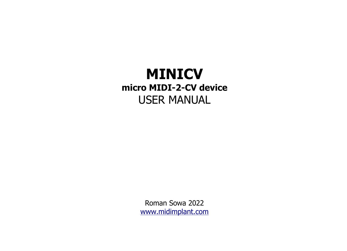# **MINICV micro MIDI-2-CV device** USER MANUAL

Roman Sowa 2022 [www.midimplant.com](http://www.midimplant.com/)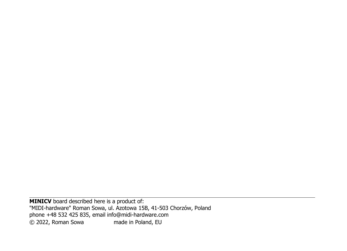**MINICV** board described here is a product of: "MIDI-hardware" Roman Sowa, ul. Azotowa 15B, 41-503 Chorzów, Poland phone +48 532 425 835, email info@midi-hardware.com © 2022, Roman Sowa made in Poland, EU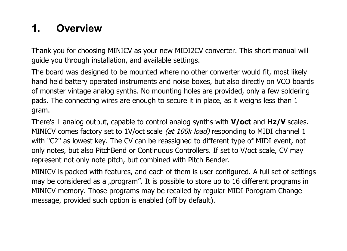# **1. Overview**

Thank you for choosing MINICV as your new MIDI2CV converter. This short manual will guide you through installation, and available settings.

The board was designed to be mounted where no other converter would fit, most likely hand held battery operated instruments and noise boxes, but also directly on VCO boards of monster vintage analog synths. No mounting holes are provided, only a few soldering pads. The connecting wires are enough to secure it in place, as it weighs less than 1 gram.

There's 1 analog output, capable to control analog synths with **V/oct** and **Hz/V** scales. MINICV comes factory set to 1V/oct scale (at 100k load) responding to MIDI channel 1 with "C2" as lowest key. The CV can be reassigned to different type of MIDI event, not only notes, but also PitchBend or Continuous Controllers. If set to V/oct scale, CV may represent not only note pitch, but combined with Pitch Bender.

MINICV is packed with features, and each of them is user configured. A full set of settings may be considered as a "program". It is possible to store up to 16 different programs in MINICV memory. Those programs may be recalled by regular MIDI Porogram Change message, provided such option is enabled (off by default).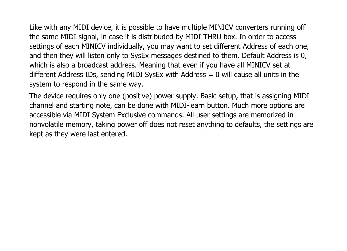Like with any MIDI device, it is possible to have multiple MINICV converters running off the same MIDI signal, in case it is distribuded by MIDI THRU box. In order to access settings of each MINICV individually, you may want to set different Address of each one, and then they will listen only to SysEx messages destined to them. Default Address is 0, which is also a broadcast address. Meaning that even if you have all MINICV set at different Address IDs, sending MIDI SysEx with Address = 0 will cause all units in the system to respond in the same way.

The device requires only one (positive) power supply. Basic setup, that is assigning MIDI channel and starting note, can be done with MIDI-learn button. Much more options are accessible via MIDI System Exclusive commands. All user settings are memorized in nonvolatile memory, taking power off does not reset anything to defaults, the settings are kept as they were last entered.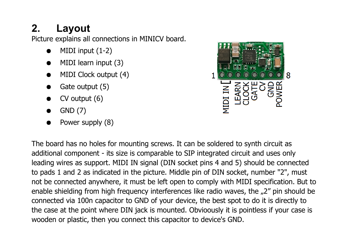# **2. Layout**

Picture explains all connections in MINICV board.

- $\bullet$  MIDI input  $(1-2)$
- MIDI learn input (3)
- MIDI Clock output (4)
- Gate output (5)
- $\bullet$  CV output (6)
- $\bullet$  GND  $(7)$
- Power supply (8)



The board has no holes for mounting screws. It can be soldered to synth circuit as additional component - its size is comparable to SIP integrated circuit and uses only leading wires as support. MIDI IN signal (DIN socket pins 4 and 5) should be connected to pads 1 and 2 as indicated in the picture. Middle pin of DIN socket, number "2", must not be connected anywhere, it must be left open to comply with MIDI specification. But to enable shielding from high frequency interferences like radio waves, the "2" pin should be connected via 100n capacitor to GND of your device, the best spot to do it is directly to the case at the point where DIN jack is mounted. Obvioously it is pointless if your case is wooden or plastic, then you connect this capacitor to device's GND.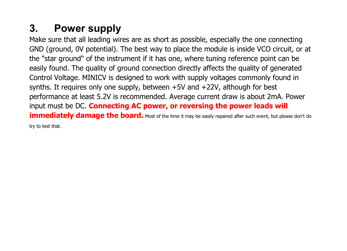# **3. Power supply**

Make sure that all leading wires are as short as possible, especially the one connecting GND (ground, 0V potential). The best way to place the module is inside VCO circuit, or at the "star ground" of the instrument if it has one, where tuning reference point can be easily found. The quality of ground connection directly affects the quality of generated Control Voltage. MINICV is designed to work with supply voltages commonly found in synths. It requires only one supply, between +5V and +22V, although for best performance at least 5.2V is recommended. Average current draw is about 2mA. Power input must be DC. **Connecting AC power, or reversing the power leads will immediately damage the board.** Most of the time it may be easily repaired after such event, but please don't do try to test that.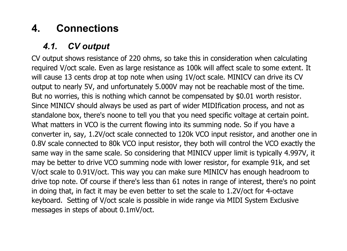# **4. Connections**

## *4.1. CV output*

CV output shows resistance of 220 ohms, so take this in consideration when calculating required V/oct scale. Even as large resistance as 100k will affect scale to some extent. It will cause 13 cents drop at top note when using 1V/oct scale. MINICV can drive its CV output to nearly 5V, and unfortunately 5.000V may not be reachable most of the time. But no worries, this is nothing which cannot be compensated by \$0.01 worth resistor. Since MINICV should always be used as part of wider MIDIfication process, and not as standalone box, there's noone to tell you that you need specific voltage at certain point. What matters in VCO is the current flowing into its summing node. So if you have a converter in, say, 1.2V/oct scale connected to 120k VCO input resistor, and another one in 0.8V scale connected to 80k VCO input resistor, they both will control the VCO exactly the same way in the same scale. So considering that MINICV upper limit is typically 4.997V, it may be better to drive VCO summing node with lower resistor, for example 91k, and set V/oct scale to 0.91V/oct. This way you can make sure MINICV has enough headroom to drive top note. Of course if there's less than 61 notes in range of interest, there's no point in doing that, in fact it may be even better to set the scale to 1.2V/oct for 4-octave keyboard. Setting of V/oct scale is possible in wide range via MIDI System Exclusive messages in steps of about 0.1mV/oct.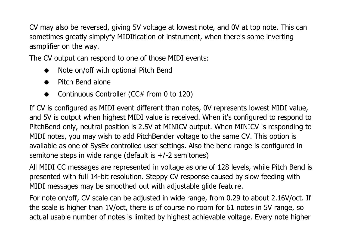CV may also be reversed, giving 5V voltage at lowest note, and 0V at top note. This can sometimes greatly simplyfy MIDIfication of instrument, when there's some inverting asmplifier on the way.

The CV output can respond to one of those MIDI events:

- Note on/off with optional Pitch Bend
- Pitch Bend alone
- Continuous Controller (CC# from 0 to 120)

If CV is configured as MIDI event different than notes, 0V represents lowest MIDI value, and 5V is output when highest MIDI value is received. When it's configured to respond to PitchBend only, neutral position is 2.5V at MINICV output. When MINICV is responding to MIDI notes, you may wish to add PitchBender voltage to the same CV. This option is available as one of SysEx controlled user settings. Also the bend range is configured in semitone steps in wide range (default is  $+/-2$  semitones)

All MIDI CC messages are represented in voltage as one of 128 levels, while Pitch Bend is presented with full 14-bit resolution. Steppy CV response caused by slow feeding with MIDI messages may be smoothed out with adjustable glide feature.

For note on/off, CV scale can be adjusted in wide range, from 0.29 to about 2.16V/oct. If the scale is higher than 1V/oct, there is of course no room for 61 notes in 5V range, so actual usable number of notes is limited by highest achievable voltage. Every note higher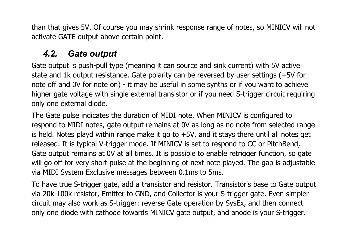than that gives 5V. Of course you may shrink response range of notes, so MINICV will not activate GATE output above certain point.

### *4.2. Gate output*

Gate output is push-pull type (meaning it can source and sink current) with 5V active state and 1k output resistance. Gate polarity can be reversed by user settings (+5V for note off and 0V for note on) - it may be useful in some synths or if you want to achieve higher gate voltage with single external transistor or if you need S-trigger circuit requiring only one external diode.

The Gate pulse indicates the duration of MIDI note. When MINICV is configured to respond to MIDI notes, gate output remains at 0V as long as no note from selected range is held. Notes playd within range make it go to  $+5V$ , and it stays there until all notes get released. It is typical V-trigger mode. If MINICV is set to respond to CC or PitchBend, Gate output remains at 0V at all times. It is possible to enable retrigger function, so gate will go off for very short pulse at the beginning of next note played. The gap is adjustable via MIDI System Exclusive messages between 0.1ms to 5ms.

To have true S-trigger gate, add a transistor and resistor. Transistor's base to Gate output via 20k-100k resistor, Emitter to GND, and Collector is your S-trigger gate. Even simpler circuit may also work as S-trigger: reverse Gate operation by SysEx, and then connect only one diode with cathode towards MINICV gate output, and anode is your S-trigger.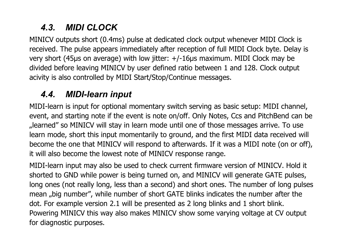# *4.3. MIDI CLOCK*

MINICV outputs short (0.4ms) pulse at dedicated clock output whenever MIDI Clock is received. The pulse appears immediately after reception of full MIDI Clock byte. Delay is very short (45μs on average) with low jitter: +/-16μs maximum. MIDI Clock may be divided before leaving MINICV by user defined ratio between 1 and 128. Clock output acivity is also controlled by MIDI Start/Stop/Continue messages.

## *4.4. MIDI-learn input*

MIDI-learn is input for optional momentary switch serving as basic setup: MIDI channel, event, and starting note if the event is note on/off. Only Notes, Ccs and PitchBend can be "learned" so MINICV will stay in learn mode until one of those messages arrive. To use learn mode, short this input momentarily to ground, and the first MIDI data received will become the one that MINICV will respond to afterwards. If it was a MIDI note (on or off), it will also become the lowest note of MINICV response range.

MIDI-learn input may also be used to check current firmware version of MINICV. Hold it shorted to GND while power is being turned on, and MINICV will generate GATE pulses, long ones (not really long, less than a second) and short ones. The number of long pulses mean "big number", while number of short GATE blinks indicates the number after the dot. For example version 2.1 will be presented as 2 long blinks and 1 short blink. Powering MINICV this way also makes MINICV show some varying voltage at CV output for diagnostic purposes.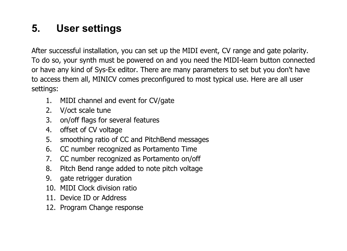# **5. User settings**

After successful installation, you can set up the MIDI event, CV range and gate polarity. To do so, your synth must be powered on and you need the MIDI-learn button connected or have any kind of Sys-Ex editor. There are many parameters to set but you don't have to access them all, MINICV comes preconfigured to most typical use. Here are all user settings:

- 1. MIDI channel and event for CV/gate
- 2. V/oct scale tune
- 3. on/off flags for several features
- 4. offset of CV voltage
- 5. smoothing ratio of CC and PitchBend messages
- 6. CC number recognized as Portamento Time
- 7. CC number recognized as Portamento on/off
- 8. Pitch Bend range added to note pitch voltage
- 9. gate retrigger duration
- 10. MIDI Clock division ratio
- 11. Device ID or Address
- 12. Program Change response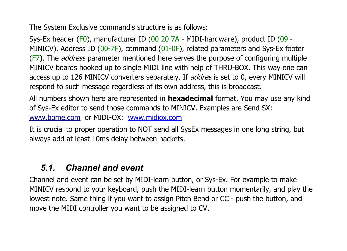The System Exclusive command's structure is as follows:

Sys-Ex header (F0), manufacturer ID (00 20 7A - MIDI-hardware), product ID (09 - MINICV), Address ID (00-7F), command (01-0F), related parameters and Sys-Ex footer (F7). The *address* parameter mentioned here serves the purpose of configuring multiple MINICV boards hooked up to single MIDI line with help of THRU-BOX. This way one can access up to 126 MINICV converters separately. If *addres* is set to 0, every MINICV will respond to such message regardless of its own address, this is broadcast.

All numbers shown here are represented in **hexadecimal** format. You may use any kind of Sys-Ex editor to send those commands to MINICV. Examples are Send SX: [www.bome.com](http://www.bome.com/) or MIDI-OX: [www.midiox.com](http://www.midiox.com/)

It is crucial to proper operation to NOT send all SysEx messages in one long string, but always add at least 10ms delay between packets.

### *5.1. Channel and event*

Channel and event can be set by MIDI-learn button, or Sys-Ex. For example to make MINICV respond to your keyboard, push the MIDI-learn button momentarily, and play the lowest note. Same thing if you want to assign Pitch Bend or CC - push the button, and move the MIDI controller you want to be assigned to CV.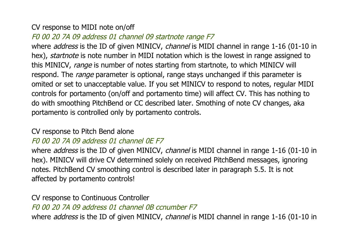#### CV response to MIDI note on/off

#### F0 00 20 7A 09 address 01 channel 09 startnote range F7

where *address* is the ID of given MINICV, *channel* is MIDI channel in range 1-16 (01-10 in hex), startnote is note number in MIDI notation which is the lowest in range assigned to this MINICV, range is number of notes starting from startnote, to which MINICV will respond. The range parameter is optional, range stays unchanged if this parameter is omited or set to unacceptable value. If you set MINICV to respond to notes, regular MIDI controls for portamento (on/off and portamento time) will affect CV. This has nothing to do with smoothing PitchBend or CC described later. Smothing of note CV changes, aka portamento is controlled only by portamento controls.

#### CV response to Pitch Bend alone

#### F0 00 20 7A 09 address 01 channel 0E F7

where *address* is the ID of given MINICV, *channel* is MIDI channel in range 1-16 (01-10 in hex). MINICV will drive CV determined solely on received PitchBend messages, ignoring notes. PitchBend CV smoothing control is described later in paragraph 5.5. It is not affected by portamento controls!

CV response to Continuous Controller F0 00 20 7A 09 address 01 channel 0B ccnumber F7 where *address* is the ID of given MINICV, *channel* is MIDI channel in range 1-16 (01-10 in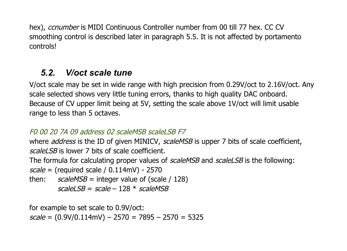hex), ccnumber is MIDI Continuous Controller number from 00 till 77 hex. CC CV smoothing control is described later in paragraph 5.5. It is not affected by portamento controls!

# *5.2. V/oct scale tune*

V/oct scale may be set in wide range with high precision from 0.29V/oct to 2.16V/oct. Any scale selected shows very little tuning errors, thanks to high quality DAC onboard. Because of CV upper limit being at 5V, setting the scale above 1V/oct will limit usable range to less than 5 octaves.

#### $F0$  00 20 7A 09 address 02 scaleMSB scaleLSB F7

where *address* is the ID of given MINICV, *scaleMSB* is upper 7 bits of scale coefficient, scalel SB is lower 7 bits of scale coefficient.

The formula for calculating proper values of scaleMSB and scaleLSB is the following:

 $scale = (required scale / 0.114 \text{mV}) - 2570$ 

then:  $scaleMSB = integer value of (scale / 128)$ scaleLSB = scale – 128  $*$  scaleMSB

for example to set scale to 0.9V/oct:  $scale = (0.9V/0.114mV) - 2570 = 7895 - 2570 = 5325$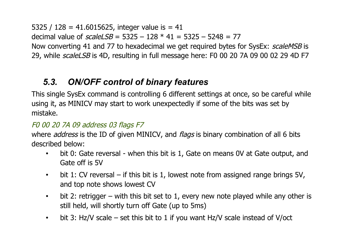5325 / 128 = 41.6015625, integer value is = 41 decimal value of  $scaleLSB = 5325 - 128 * 41 = 5325 - 5248 = 77$ Now converting 41 and 77 to hexadecimal we get required bytes for SysEx: *scaleMSB* is 29, while scaleLSB is 4D, resulting in full message here: F0 00 20 7A 09 00 02 29 4D F7

### *5.3. ON/OFF control of binary features*

This single SysEx command is controlling 6 different settings at once, so be careful while using it, as MINICV may start to work unexpectedly if some of the bits was set by mistake.

#### F0 00 20 7A 09 address 03 flags F7

where *address* is the ID of given MINICV, and *flags* is binary combination of all 6 bits described below:

- bit 0: Gate reversal when this bit is 1, Gate on means 0V at Gate output, and Gate off is 5V
- $\cdot$  bit 1: CV reversal if this bit is 1, lowest note from assigned range brings 5V, and top note shows lowest CV
- bit 2: retrigger with this bit set to 1, every new note played while any other is still held, will shortly turn off Gate (up to 5ms)
- bit 3: Hz/V scale set this bit to 1 if you want Hz/V scale instead of V/oct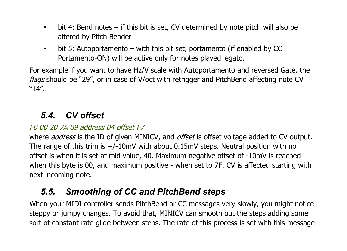- bit 4: Bend notes if this bit is set, CV determined by note pitch will also be altered by Pitch Bender
- bit 5: Autoportamento with this bit set, portamento (if enabled by CC Portamento-ON) will be active only for notes played legato.

For example if you want to have Hz/V scale with Autoportamento and reversed Gate, the flags should be "29", or in case of V/oct with retrigger and PitchBend affecting note CV "14".

### *5.4. CV offset*

#### F0 00 20 7A 09 address 04 offset F7

where *address* is the ID of given MINICV, and *offset* is offset voltage added to CV output. The range of this trim is +/-10mV with about 0.15mV steps. Neutral position with no offset is when it is set at mid value, 40. Maximum negative offset of -10mV is reached when this byte is 00, and maximum positive - when set to 7F. CV is affected starting with next incoming note.

## *5.5. Smoothing of CC and PitchBend steps*

When your MIDI controller sends PitchBend or CC messages very slowly, you might notice steppy or jumpy changes. To avoid that, MINICV can smooth out the steps adding some sort of constant rate glide between steps. The rate of this process is set with this message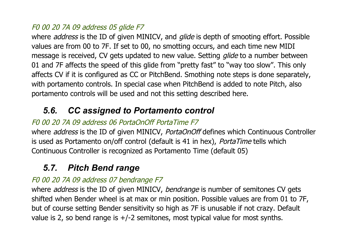#### F0 00 20 7A 09 address 05 glide F7

where *address* is the ID of given MINICV, and *glide* is depth of smooting effort. Possible values are from 00 to 7F. If set to 00, no smotting occurs, and each time new MIDI message is received, CV gets updated to new value. Setting *glide* to a number between 01 and 7F affects the speed of this glide from "pretty fast" to "way too slow". This only affects CV if it is configured as CC or PitchBend. Smothing note steps is done separately, with portamento controls. In special case when PitchBend is added to note Pitch, also portamento controls will be used and not this setting described here.

### *5.6. CC assigned to Portamento control*

#### F0 00 20 7A 09 address 06 PortaOnOff PortaTime F7

where *address* is the ID of given MINICV, *PortaOnOff* defines which Continuous Controller is used as Portamento on/off control (default is 41 in hex), PortaTime tells which Continuous Controller is recognized as Portamento Time (default 05)

### *5.7. Pitch Bend range*

#### F0 00 20 7A 09 address 07 bendrange F7

where *address* is the ID of given MINICV, *bendrange* is number of semitones CV gets shifted when Bender wheel is at max or min position. Possible values are from 01 to 7F, but of course setting Bender sensitivity so high as 7F is unusable if not crazy. Default value is 2, so bend range is +/-2 semitones, most typical value for most synths.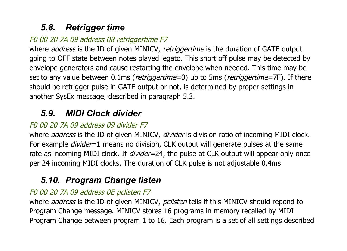## *5.8. Retrigger time*

### F0 00 20 7A 09 address 08 retriggertime F7

where *address* is the ID of given MINICV, retriggertime is the duration of GATE output going to OFF state between notes played legato. This short off pulse may be detected by envelope generators and cause restarting the envelope when needed. This time may be set to any value between  $0.1$ ms (*retriggertime*=0) up to 5ms (*retriggertime*=7F). If there should be retrigger pulse in GATE output or not, is determined by proper settings in another SysEx message, described in paragraph 5.3.

## *5.9. MIDI Clock divider*

### F0 00 20 7A 09 address 09 divider F7

where *address* is the ID of given MINICV, *divider* is division ratio of incoming MIDI clock. For example *divider*=1 means no division, CLK output will generate pulses at the same rate as incoming MIDI clock. If *divider*=24, the pulse at CLK output will appear only once per 24 incoming MIDI clocks. The duration of CLK pulse is not adjustable 0.4ms

# *5.10. Program Change listen*

### F0 00 20 7A 09 address 0E pclisten F7

where *address* is the ID of given MINICV, *pclisten* tells if this MINICV should repond to Program Change message. MINICV stores 16 programs in memory recalled by MIDI Program Change between program 1 to 16. Each program is a set of all settings described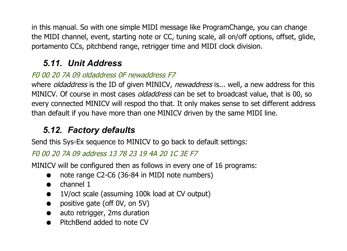in this manual. So with one simple MIDI message like ProgramChange, you can change the MIDI channel, event, starting note or CC, tuning scale, all on/off options, offset, glide, portamento CCs, pitchbend range, retrigger time and MIDI clock division.

# *5.11. Unit Address*

### F0 00 20 7A 09 oldaddress 0F newaddress F7

where *oldaddress* is the ID of given MINICV, *newaddress* is... well, a new address for this MINICV. Of course in most cases *oldaddress* can be set to broadcast value, that is 00, so every connected MINICV will respod tho that. It only makes sense to set different address than default if you have more than one MINICV driven by the same MIDI line.

# *5.12. Factory defaults*

Send this Sys-Ex sequence to MINICV to go back to default settings:

### F0 00 20 7A 09 address 13 78 23 19 4A 20 1C 3E F7

MINICV will be configured then as follows in every one of 16 programs:

- note range C2-C6 (36-84 in MIDI note numbers)
- channel 1
- 1V/oct scale (assuming 100k load at CV output)
- positive gate (off 0V, on 5V)
- auto retrigger, 2ms duration
- PitchBend added to note CV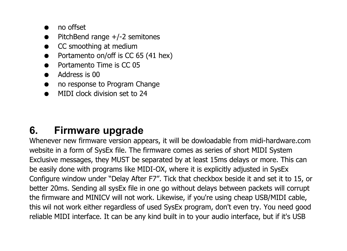- no offset
- PitchBend range  $+/-2$  semitones
- CC smoothing at medium
- Portamento on/off is CC 65 (41 hex)
- Portamento Time is CC 05
- Address is 00
- no response to Program Change
- MIDI clock division set to 24

# **6. Firmware upgrade**

Whenever new firmware version appears, it will be dowloadable from midi-hardware.com website in a form of SysEx file. The firmware comes as series of short MIDI System Exclusive messages, they MUST be separated by at least 15ms delays or more. This can be easily done with programs like MIDI-OX, where it is explicitly adjusted in SysEx Configure window under "Delay After F7". Tick that checkbox beside it and set it to 15, or better 20ms. Sending all sysEx file in one go without delays between packets will corrupt the firmware and MINICV will not work. Likewise, if you're using cheap USB/MIDI cable, this wil not work either regardless of used SysEx program, don't even try. You need good reliable MIDI interface. It can be any kind built in to your audio interface, but if it's USB